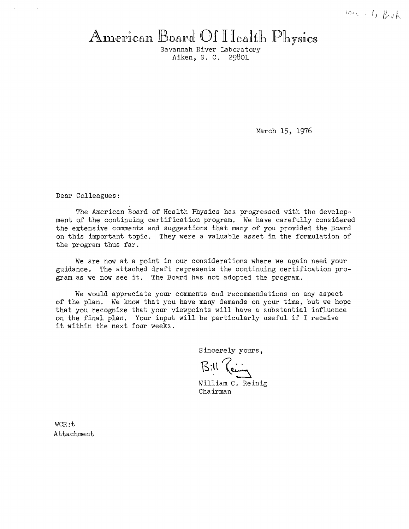# American Board Of I-Icalth Physics

Savannah River Laboratory Aiken, S. C. 29801

March 15, 1976

Dear Colleagues:

The American Board of Health Physics has progressed with the development of the continuing certification program. We have carefully considered the extensive comments and suggestions that many of you provided the Board on this important topic. They were a valuable asset in the formulation of the program thus far.

We are now at a point in our considerations where we again need your guidance. The attached draft represents the continuing certification program as we now see it. The Board has not adopted the program.

We would appreciate your comments and recommendations on any aspect of the plan. We know that you have many demands on your time, but we hope that you recognize that your viewpoints will have a substantial influence on the final plan. Your input will be particularly useful if I receive it within the next four weeks.

Sincerely yours,

 $B$ <sup>:11</sup> *Reing* 

William C. Reinig Chairman

WCR:t Attachment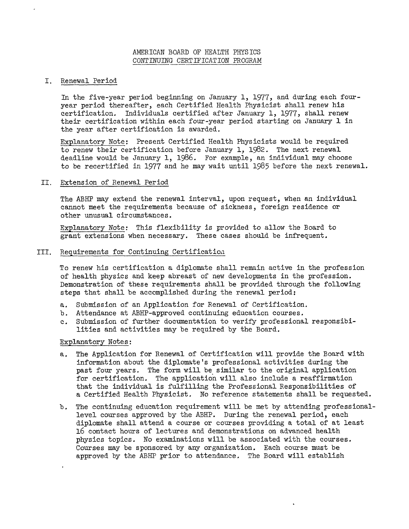## AMERICAN BOARD OF HEALTH PHYSICS CONTINUING CERTIFICATION PROGRAM

#### I. Renewal Period

In the five-year period beginning on January 1, 1977, and during each fouryear period thereafter, each Certified Health Physicist shall renew his certification. Individuals certified after January 1, 1977, shall renew their certification within each four-year period starting on January l in the year after certification is awarded.

Explanatory Note: Present Certified Health Physicists would be required to renew their certification before January 1, 1982. The next renewal deadline would be January 1, 1986. For example, an individual may choose to be recertified in 1977 and he may wait until 1985 before the next renewal.

## II. Extension of Renewal Period

The ABHP may extend the renewal interval, upon request, when an individual cannot meet the requirements because of sickness, foreign residence or other unusual circumstances.

Explanatory Note: This flexibility is provided to allow the Board to grant extensions when necessary. These cases should be infrequent.

## III. Requirements for Continuing Certification

To renew his certification a diplomate shall remain active in the profession of health physics and keep abreast of new developments in the profession. Demonstration of these requirements shall be provided through the following steps that shall be accomplished during the renewal period:

- a. Submission of an Application for Renewal of Certification.
- b. Attendance at ABHP-approved continuing education courses.
- c. Submission of further documentation to verify professional responsibilities and activities may be required by the Board.

#### Explanatory Notes:

 $\bullet$ 

- a. The Application for Renewal of Certification will provide the Board with information about the diplomate's professional activities during the past four years. The form will be similar to the original application for certification. The application will also include a reaffirmation that the individual is fulfilling the Professional Responsibilities of a Certified Health Physicist. No reference statements shall be requested.
- b. The continuing education requirement will be met by attending professionallevel courses approved by the ABHP. During the renewal period, each diplomate shall attend a course or courses providing a total of at least 16 contact hours of lectures and demonstrations on advanced health physics topics. No examinations will be associated with the courses. Courses may be sponsored by any organization. Each course must be approved by the ABHP prior to attendance. The Board will establish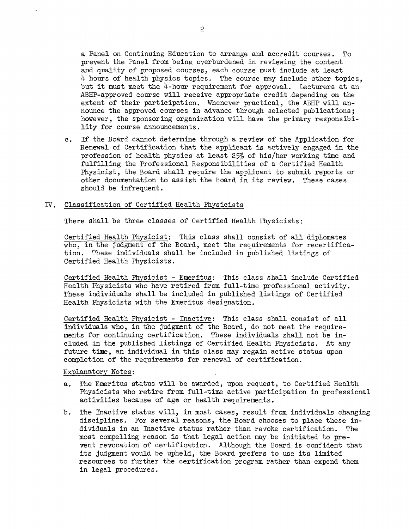a Panel on Continuing Education to arrange and accredit courses. To prevent the Panel from being overburdened in reviewing the content and quality of proposed courses, each course must include at least 4 hours of health physics topics. The course may include other topics, but it must meet the  $l_+$ -hour requirement for approval. Lecturers at an ABHP-approved course will receive appropriate credit.depending on the extent of their participation. Whenever practical, the ABHP **will** announce the approved courses in advance through selected publications; however, the sponsoring organization will have the primary responsibility for course announcements.

c. If the Board cannot determine through a review of the Application for Renewal of Certification that the applicant is actively engaged in the profession of health physics at least 25% of his/her working time and fulfilling the Professional Responsibilities of a Certified Health Physicist, the Board shall require the applicant to submit reports or other documentation to assist the Board in its review. These cases should be infrequent.

#### *Dr.* Classification of Certified Health Physicists

There shall be three classes of Certified Health Physicists:

Certified Health Physicist: This class shall consist of all diplomates who, in the judgment of the Board, meet the requirements for recertification. These individuals shall be included in published listings of Certified Health Physicists.

Certified Health Physicist - Emeritus: This class shall include Certified Health Physicists who have retired from full-time professional activity. These individuals shall be included in published listings of Certified Health Physicists with the Emeritus designation.

Certified Health Physicist - Inactive: This **class** shall consist of all individuals who, in the judgment of the Board, do not meet the requirements for continuing certification. These individuals shall not be included in the published listings of Certified Health Physicists. At any future time, an individual in this class may regain active status upon completion of the requirements for renewal of certification.

Explanatory Notes:

- a. The Emeritus status will be awarded, upon request, to Certified Health Physicists who retire from full-time active participation in professional activities because of age or health requirements.
- b. The Inactive status will, in most cases, result from individuals changing disciplines. For several reasons, the Board chooses to place these individuals in an Inactive status rather than revoke certification. The most compelling reason is that legal action may be initiated to prevent revocation of certification. Although the Board is confident that its judgment would be upheld, the Board prefers to use its limited resources to further the certification program rather than expend them in legal procedures.